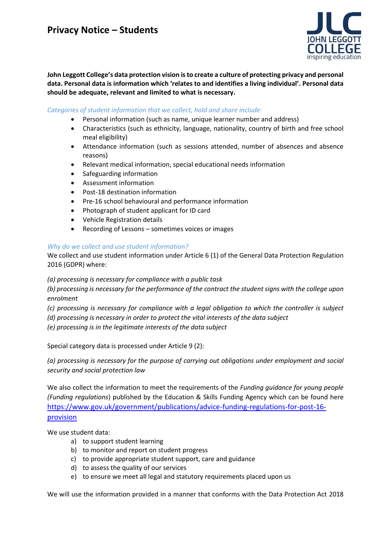

**John Leggott College's data protection vision is to create a culture of protecting privacy and personal data. Personal data is information which 'relates to and identifies a living individual'. Personal data should be adequate, relevant and limited to what is necessary.**

### *Categories of student information that we collect, hold and share include:*

- Personal information (such as name, unique learner number and address)
- Characteristics (such as ethnicity, language, nationality, country of birth and free school meal eligibility)
- Attendance information (such as sessions attended, number of absences and absence reasons)
- Relevant medical information, special educational needs information
- Safeguarding information
- Assessment information
- Post-18 destination information
- Pre-16 school behavioural and performance information
- Photograph of student applicant for ID card
- Vehicle Registration details
- Recording of Lessons sometimes voices or images

### *Why do we collect and use student information?*

We collect and use student information under Article 6 (1) of the General Data Protection Regulation 2016 (GDPR) where:

*(a) processing is necessary for compliance with a public task*

*(b) processing is necessary for the performance of the contract the student signs with the college upon enrolment*

*(c) processing is necessary for compliance with a legal obligation to which the controller is subject*

*(d) processing is necessary in order to protect the vital interests of the data subject*

*(e) processing is in the legitimate interests of the data subject*

Special category data is processed under Article 9 (2):

*(a) processing is necessary for the purpose of carrying out obligations under employment and social security and social protection law*

We also collect the information to meet the requirements of the *Funding guidance for young people (Funding regulations*) published by the Education & Skills Funding Agency which can be found here [https://www.gov.uk/government/publications/advice-funding-regulations-for-post-16](https://www.gov.uk/government/publications/advice-funding-regulations-for-post-16-provision) [provision](https://www.gov.uk/government/publications/advice-funding-regulations-for-post-16-provision)

We use student data:

- a) to support student learning
- b) to monitor and report on student progress
- c) to provide appropriate student support, care and guidance
- d) to assess the quality of our services
- e) to ensure we meet all legal and statutory requirements placed upon us

We will use the information provided in a manner that conforms with the Data Protection Act 2018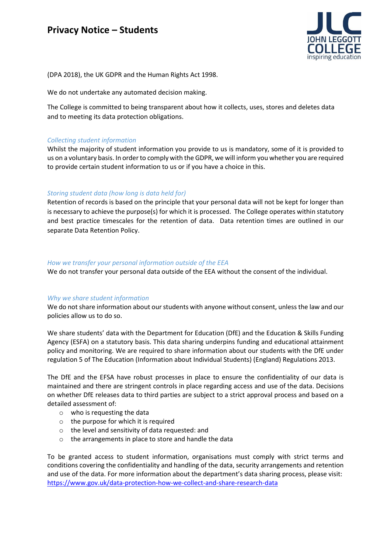

(DPA 2018), the UK GDPR and the Human Rights Act 1998.

We do not undertake any automated decision making.

The College is committed to being transparent about how it collects, uses, stores and deletes data and to meeting its data protection obligations.

#### *Collecting student information*

Whilst the majority of student information you provide to us is mandatory, some of it is provided to us on a voluntary basis. In order to comply with the GDPR, we will inform you whether you are required to provide certain student information to us or if you have a choice in this.

### *Storing student data (how long is data held for)*

Retention of records is based on the principle that your personal data will not be kept for longer than is necessary to achieve the purpose(s) for which it is processed. The College operates within statutory and best practice timescales for the retention of data. Data retention times are outlined in our separate Data Retention Policy.

#### *How we transfer your personal information outside of the EEA*

We do not transfer your personal data outside of the EEA without the consent of the individual.

#### *Why we share student information*

We do not share information about our students with anyone without consent, unless the law and our policies allow us to do so.

We share students' data with the Department for Education (DfE) and the Education & Skills Funding Agency (ESFA) on a statutory basis. This data sharing underpins funding and educational attainment policy and monitoring. We are required to share information about our students with the DfE under regulation 5 of The Education (Information about Individual Students) (England) Regulations 2013.

The DfE and the EFSA have robust processes in place to ensure the confidentiality of our data is maintained and there are stringent controls in place regarding access and use of the data. Decisions on whether DfE releases data to third parties are subject to a strict approval process and based on a detailed assessment of:

- o who is requesting the data
- o the purpose for which it is required
- o the level and sensitivity of data requested: and
- o the arrangements in place to store and handle the data

To be granted access to student information, organisations must comply with strict terms and conditions covering the confidentiality and handling of the data, security arrangements and retention and use of the data. For more information about the department's data sharing process, please visit: <https://www.gov.uk/data-protection-how-we-collect-and-share-research-data>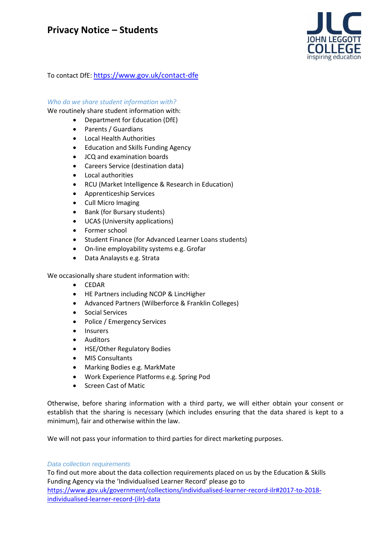

To contact DfE: <https://www.gov.uk/contact-dfe>

### *Who do we share student information with?*

We routinely share student information with:

- Department for Education (DfE)
- Parents / Guardians
- Local Health Authorities
- Education and Skills Funding Agency
- JCQ and examination boards
- Careers Service (destination data)
- Local authorities
- RCU (Market Intelligence & Research in Education)
- Apprenticeship Services
- Cull Micro Imaging
- Bank (for Bursary students)
- UCAS (University applications)
- Former school
- Student Finance (for Advanced Learner Loans students)
- On-line employability systems e.g. Grofar
- Data Analaysts e.g. Strata

We occasionally share student information with:

- CEDAR
- HE Partners including NCOP & LincHigher
- Advanced Partners (Wilberforce & Franklin Colleges)
- Social Services
- Police / Emergency Services
- Insurers
- Auditors
- HSE/Other Regulatory Bodies
- MIS Consultants
- Marking Bodies e.g. MarkMate
- Work Experience Platforms e.g. Spring Pod
- Screen Cast of Matic

Otherwise, before sharing information with a third party, we will either obtain your consent or establish that the sharing is necessary (which includes ensuring that the data shared is kept to a minimum), fair and otherwise within the law.

We will not pass your information to third parties for direct marketing purposes.

### *Data collection requirements*

To find out more about the data collection requirements placed on us by the Education & Skills Funding Agency via the 'Individualised Learner Record' please go to [https://www.gov.uk/government/collections/individualised-learner-record-ilr#2017-to-2018](https://www.gov.uk/government/collections/individualised-learner-record-ilr) [individualised-learner-record-\(ilr\)-data](https://www.gov.uk/government/collections/individualised-learner-record-ilr)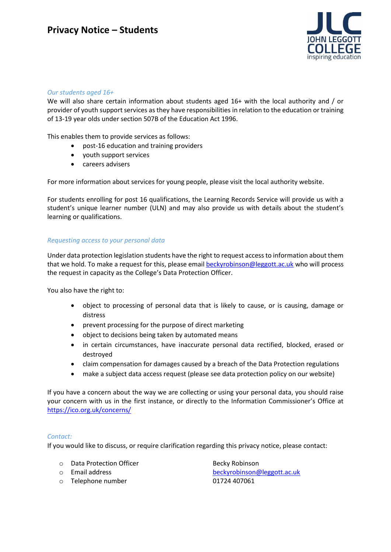

### *Our students aged 16+*

We will also share certain information about students aged 16+ with the local authority and / or provider of youth support services as they have responsibilities in relation to the education or training of 13-19 year olds under section 507B of the Education Act 1996.

This enables them to provide services as follows:

- post-16 education and training providers
- youth support services
- careers advisers

For more information about services for young people, please visit the local authority website.

For students enrolling for post 16 qualifications, the Learning Records Service will provide us with a student's unique learner number (ULN) and may also provide us with details about the student's learning or qualifications.

### *Requesting access to your personal data*

Under data protection legislation students have the right to request access to information about them that we hold. To make a request for this, please email [beckyrobinson@leggott.ac.uk](mailto:beckyrobinson@leggott.ac.uk) who will process the request in capacity as the College's Data Protection Officer.

You also have the right to:

- object to processing of personal data that is likely to cause, or is causing, damage or distress
- prevent processing for the purpose of direct marketing
- object to decisions being taken by automated means
- in certain circumstances, have inaccurate personal data rectified, blocked, erased or destroyed
- claim compensation for damages caused by a breach of the Data Protection regulations
- make a subject data access request (please see data protection policy on our website)

If you have a concern about the way we are collecting or using your personal data, you should raise your concern with us in the first instance, or directly to the Information Commissioner's Office at <https://ico.org.uk/concerns/>

### *Contact:*

If you would like to discuss, or require clarification regarding this privacy notice, please contact:

- o Data Protection Officer **Becky Robinson**
- 
- o Telephone number 01724 407061

o Email address [beckyrobinson@leggott.ac.uk](mailto:beckyrobinson@leggott.ac.uk)